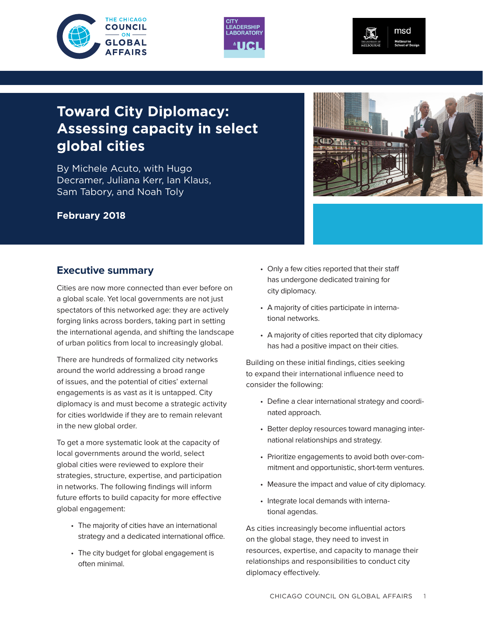





# **Toward City Diplomacy: Assessing capacity in select global cities**

By Michele Acuto, with Hugo Decramer, Juliana Kerr, Ian Klaus, Sam Tabory, and Noah Toly

#### **February 2018**

### **Executive summary**

Cities are now more connected than ever before on a global scale. Yet local governments are not just spectators of this networked age: they are actively forging links across borders, taking part in setting the international agenda, and shifting the landscape of urban politics from local to increasingly global.

There are hundreds of formalized city networks around the world addressing a broad range of issues, and the potential of cities' external engagements is as vast as it is untapped. City diplomacy is and must become a strategic activity for cities worldwide if they are to remain relevant in the new global order.

To get a more systematic look at the capacity of local governments around the world, select global cities were reviewed to explore their strategies, structure, expertise, and participation in networks. The following findings will inform future efforts to build capacity for more effective global engagement:

- The majority of cities have an international strategy and a dedicated international office.
- The city budget for global engagement is often minimal.
- Only a few cities reported that their staff has undergone dedicated training for city diplomacy.
- A majority of cities participate in international networks.
- A majority of cities reported that city diplomacy has had a positive impact on their cities.

Building on these initial findings, cities seeking to expand their international influence need to consider the following:

- Define a clear international strategy and coordinated approach.
- Better deploy resources toward managing international relationships and strategy.
- Prioritize engagements to avoid both over-commitment and opportunistic, short-term ventures.
- Measure the impact and value of city diplomacy.
- Integrate local demands with international agendas.

As cities increasingly become influential actors on the global stage, they need to invest in resources, expertise, and capacity to manage their relationships and responsibilities to conduct city diplomacy effectively.

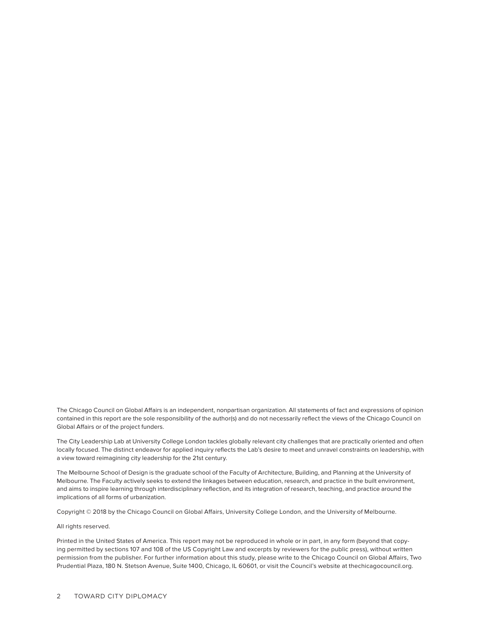The Chicago Council on Global Affairs is an independent, nonpartisan organization. All statements of fact and expressions of opinion contained in this report are the sole responsibility of the author(s) and do not necessarily reflect the views of the Chicago Council on Global Affairs or of the project funders.

The City Leadership Lab at University College London tackles globally relevant city challenges that are practically oriented and often locally focused. The distinct endeavor for applied inquiry reflects the Lab's desire to meet and unravel constraints on leadership, with a view toward reimagining city leadership for the 21st century.

The Melbourne School of Design is the graduate school of the Faculty of Architecture, Building, and Planning at the University of Melbourne. The Faculty actively seeks to extend the linkages between education, research, and practice in the built environment, and aims to inspire learning through interdisciplinary reflection, and its integration of research, teaching, and practice around the implications of all forms of urbanization.

Copyright © 2018 by the Chicago Council on Global Affairs, University College London, and the University of Melbourne.

All rights reserved.

Printed in the United States of America. This report may not be reproduced in whole or in part, in any form (beyond that copying permitted by sections 107 and 108 of the US Copyright Law and excerpts by reviewers for the public press), without written permission from the publisher. For further information about this study, please write to the Chicago Council on Global Affairs, Two Prudential Plaza, 180 N. Stetson Avenue, Suite 1400, Chicago, IL 60601, or visit the Council's website at thechicagocouncil.org.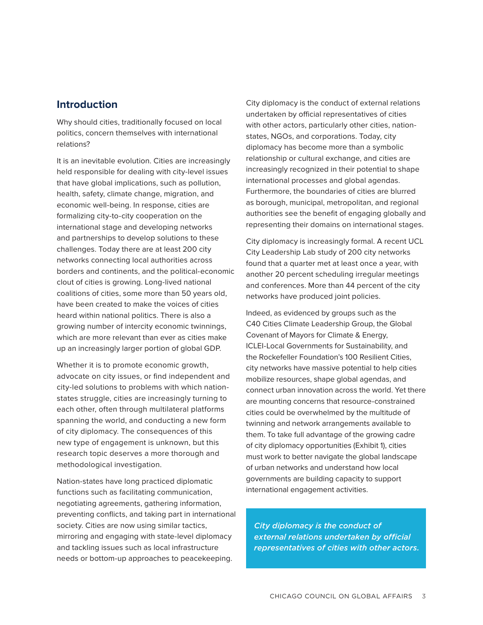### **Introduction**

Why should cities, traditionally focused on local politics, concern themselves with international relations?

It is an inevitable evolution. Cities are increasingly held responsible for dealing with city-level issues that have global implications, such as pollution, health, safety, climate change, migration, and economic well-being. In response, cities are formalizing city-to-city cooperation on the international stage and developing networks and partnerships to develop solutions to these challenges. Today there are at least 200 city networks connecting local authorities across borders and continents, and the political-economic clout of cities is growing. Long-lived national coalitions of cities, some more than 50 years old, have been created to make the voices of cities heard within national politics. There is also a growing number of intercity economic twinnings, which are more relevant than ever as cities make up an increasingly larger portion of global GDP.

Whether it is to promote economic growth, advocate on city issues, or find independent and city-led solutions to problems with which nationstates struggle, cities are increasingly turning to each other, often through multilateral platforms spanning the world, and conducting a new form of city diplomacy. The consequences of this new type of engagement is unknown, but this research topic deserves a more thorough and methodological investigation.

Nation-states have long practiced diplomatic functions such as facilitating communication, negotiating agreements, gathering information, preventing conflicts, and taking part in international society. Cities are now using similar tactics, mirroring and engaging with state-level diplomacy and tackling issues such as local infrastructure needs or bottom-up approaches to peacekeeping.

City diplomacy is the conduct of external relations undertaken by official representatives of cities with other actors, particularly other cities, nationstates, NGOs, and corporations. Today, city diplomacy has become more than a symbolic relationship or cultural exchange, and cities are increasingly recognized in their potential to shape international processes and global agendas. Furthermore, the boundaries of cities are blurred as borough, municipal, metropolitan, and regional authorities see the benefit of engaging globally and representing their domains on international stages.

City diplomacy is increasingly formal. A recent UCL City Leadership Lab study of 200 city networks found that a quarter met at least once a year, with another 20 percent scheduling irregular meetings and conferences. More than 44 percent of the city networks have produced joint policies.

Indeed, as evidenced by groups such as the C40 Cities Climate Leadership Group, the Global Covenant of Mayors for Climate & Energy, ICLEI-Local Governments for Sustainability, and the Rockefeller Foundation's 100 Resilient Cities, city networks have massive potential to help cities mobilize resources, shape global agendas, and connect urban innovation across the world. Yet there are mounting concerns that resource-constrained cities could be overwhelmed by the multitude of twinning and network arrangements available to them. To take full advantage of the growing cadre of city diplomacy opportunities (Exhibit 1), cities must work to better navigate the global landscape of urban networks and understand how local governments are building capacity to support international engagement activities.

*City diplomacy is the conduct of external relations undertaken by official representatives of cities with other actors.*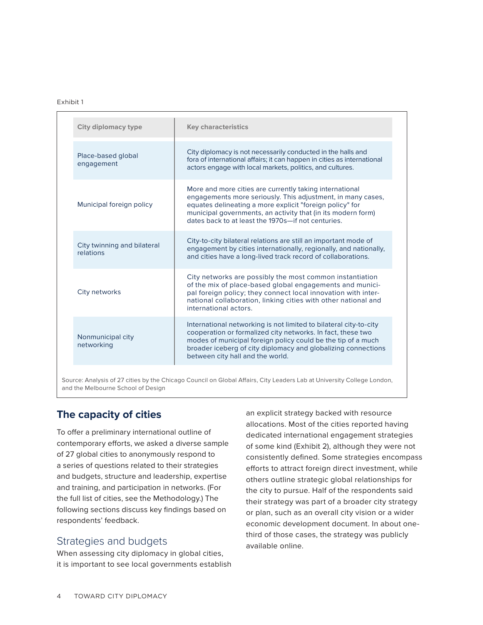#### **Exhibit 1:** Exhibit 1

| <b>City diplomacy type</b>               | <b>Key characteristics</b>                                                                                                                                                                                                                                                                               |
|------------------------------------------|----------------------------------------------------------------------------------------------------------------------------------------------------------------------------------------------------------------------------------------------------------------------------------------------------------|
| Place-based global<br>engagement         | City diplomacy is not necessarily conducted in the halls and<br>fora of international affairs; it can happen in cities as international<br>actors engage with local markets, politics, and cultures.                                                                                                     |
| Municipal foreign policy                 | More and more cities are currently taking international<br>engagements more seriously. This adjustment, in many cases,<br>equates delineating a more explicit "foreign policy" for<br>municipal governments, an activity that (in its modern form)<br>dates back to at least the 1970s-if not centuries. |
| City twinning and bilateral<br>relations | City-to-city bilateral relations are still an important mode of<br>engagement by cities internationally, regionally, and nationally,<br>and cities have a long-lived track record of collaborations.                                                                                                     |
| City networks                            | City networks are possibly the most common instantiation<br>of the mix of place-based global engagements and munici-<br>pal foreign policy; they connect local innovation with inter-<br>national collaboration, linking cities with other national and<br>international actors.                         |
| Nonmunicipal city<br>networking          | International networking is not limited to bilateral city-to-city<br>cooperation or formalized city networks. In fact, these two<br>modes of municipal foreign policy could be the tip of a much<br>broader iceberg of city diplomacy and globalizing connections<br>between city hall and the world.    |

Source: Analysis of 27 cities by the Chicago Council on Global Affairs, City Leaders Lab at University College London, and the Melbourne School of Design

#### **The capacity of cities**

To offer a preliminary international outline of contemporary efforts, we asked a diverse sample of 27 global cities to anonymously respond to a series of questions related to their strategies and budgets, structure and leadership, expertise and training, and participation in networks. (For the full list of cities, see the Methodology.) The following sections discuss key findings based on respondents' feedback.

#### Strategies and budgets

When assessing city diplomacy in global cities, it is important to see local governments establish an explicit strategy backed with resource allocations. Most of the cities reported having dedicated international engagement strategies of some kind (Exhibit 2), although they were not consistently defined. Some strategies encompass efforts to attract foreign direct investment, while others outline strategic global relationships for the city to pursue. Half of the respondents said their strategy was part of a broader city strategy or plan, such as an overall city vision or a wider economic development document. In about onethird of those cases, the strategy was publicly available online.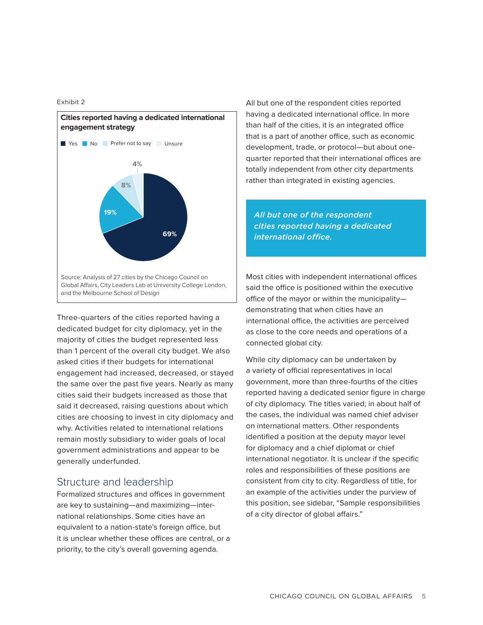Exhibit 2



Three-quarters of the cities reported having a dedicated budget for city diplomacy, yet in the majority of cities the budget represented less than 1 percent of the overall city budget. We also asked cities if their budgets for international engagement had increased, decreased, or stayed the same over the past five years. Nearly as many cities said their budgets increased as those that said it decreased, raising questions about which cities are choosing to invest in city diplomacy and why. Activities related to international relations remain mostly subsidiary to wider goals of local government administrations and appear to be generally underfunded.

#### Structure and leadership

Formalized structures and offices in government are key to sustaining—and maximizing—international relationships. Some cities have an equivalent to a nation-state's foreign office, but it is unclear whether these offices are central, or a priority, to the city's overall governing agenda.

All but one of the respondent cities reported having a dedicated international office. In more than half of the cities, it is an integrated office that is a part of another office, such as economic development, trade, or protocol—but about onequarter reported that their international offices are totally independent from other city departments rather than integrated in existing agencies.

*All but one of the respondent cities reported having a dedicated international office.*

Most cities with independent international offices said the office is positioned within the executive office of the mayor or within the municipality demonstrating that when cities have an international office, the activities are perceived as close to the core needs and operations of a connected global city.

While city diplomacy can be undertaken by a variety of official representatives in local government, more than three-fourths of the cities reported having a dedicated senior figure in charge of city diplomacy. The titles varied; in about half of the cases, the individual was named chief adviser on international matters. Other respondents identified a position at the deputy mayor level for diplomacy and a chief diplomat or chief international negotiator. It is unclear if the specific roles and responsibilities of these positions are consistent from city to city. Regardless of title, for an example of the activities under the purview of this position, see sidebar, "Sample responsibilities of a city director of global affairs."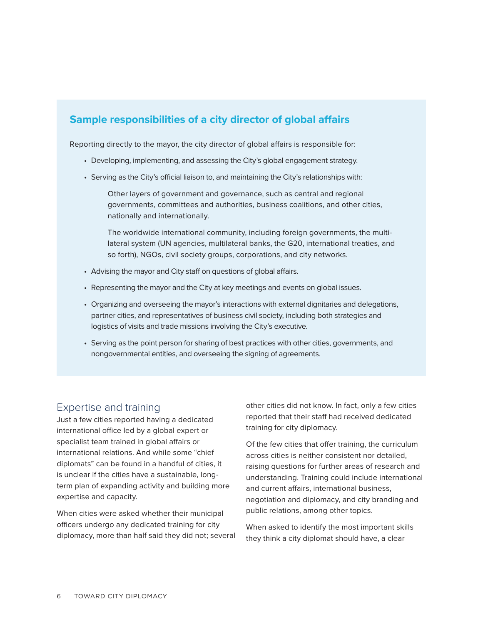### **Sample responsibilities of a city director of global affairs**

Reporting directly to the mayor, the city director of global affairs is responsible for:

- Developing, implementing, and assessing the City's global engagement strategy.
- Serving as the City's official liaison to, and maintaining the City's relationships with:

Other layers of government and governance, such as central and regional governments, committees and authorities, business coalitions, and other cities, nationally and internationally.

The worldwide international community, including foreign governments, the multilateral system (UN agencies, multilateral banks, the G20, international treaties, and so forth), NGOs, civil society groups, corporations, and city networks.

- Advising the mayor and City staff on questions of global affairs.
- Representing the mayor and the City at key meetings and events on global issues.
- Organizing and overseeing the mayor's interactions with external dignitaries and delegations, partner cities, and representatives of business civil society, including both strategies and logistics of visits and trade missions involving the City's executive.
- Serving as the point person for sharing of best practices with other cities, governments, and nongovernmental entities, and overseeing the signing of agreements.

#### Expertise and training

Just a few cities reported having a dedicated international office led by a global expert or specialist team trained in global affairs or international relations. And while some "chief diplomats" can be found in a handful of cities, it is unclear if the cities have a sustainable, longterm plan of expanding activity and building more expertise and capacity.

When cities were asked whether their municipal officers undergo any dedicated training for city diplomacy, more than half said they did not; several other cities did not know. In fact, only a few cities reported that their staff had received dedicated training for city diplomacy.

Of the few cities that offer training, the curriculum across cities is neither consistent nor detailed, raising questions for further areas of research and understanding. Training could include international and current affairs, international business, negotiation and diplomacy, and city branding and public relations, among other topics.

When asked to identify the most important skills they think a city diplomat should have, a clear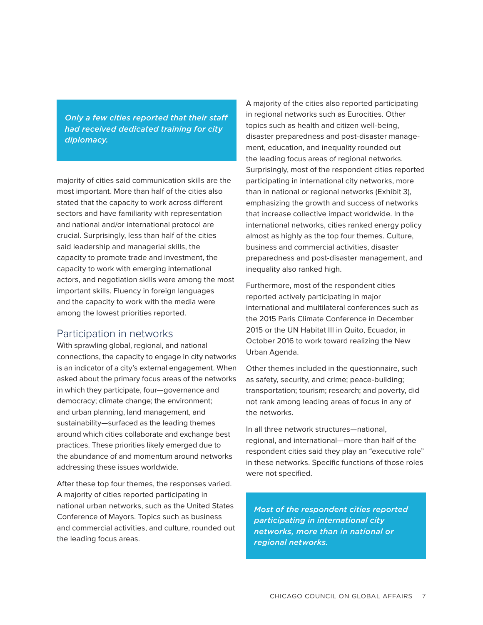*Only a few cities reported that their staff had received dedicated training for city diplomacy.* 

majority of cities said communication skills are the most important. More than half of the cities also stated that the capacity to work across different sectors and have familiarity with representation and national and/or international protocol are crucial. Surprisingly, less than half of the cities said leadership and managerial skills, the capacity to promote trade and investment, the capacity to work with emerging international actors, and negotiation skills were among the most important skills. Fluency in foreign languages and the capacity to work with the media were among the lowest priorities reported.

#### Participation in networks

With sprawling global, regional, and national connections, the capacity to engage in city networks is an indicator of a city's external engagement. When asked about the primary focus areas of the networks in which they participate, four—governance and democracy; climate change; the environment; and urban planning, land management, and sustainability—surfaced as the leading themes around which cities collaborate and exchange best practices. These priorities likely emerged due to the abundance of and momentum around networks addressing these issues worldwide.

After these top four themes, the responses varied. A majority of cities reported participating in national urban networks, such as the United States Conference of Mayors. Topics such as business and commercial activities, and culture, rounded out the leading focus areas.

A majority of the cities also reported participating in regional networks such as Eurocities. Other topics such as health and citizen well-being, disaster preparedness and post-disaster management, education, and inequality rounded out the leading focus areas of regional networks. Surprisingly, most of the respondent cities reported participating in international city networks, more than in national or regional networks (Exhibit 3), emphasizing the growth and success of networks that increase collective impact worldwide. In the international networks, cities ranked energy policy almost as highly as the top four themes. Culture, business and commercial activities, disaster preparedness and post-disaster management, and inequality also ranked high.

Furthermore, most of the respondent cities reported actively participating in major international and multilateral conferences such as the 2015 Paris Climate Conference in December 2015 or the UN Habitat III in Quito, Ecuador, in October 2016 to work toward realizing the New Urban Agenda.

Other themes included in the questionnaire, such as safety, security, and crime; peace-building; transportation; tourism; research; and poverty, did not rank among leading areas of focus in any of the networks.

In all three network structures—national, regional, and international—more than half of the respondent cities said they play an "executive role" in these networks. Specific functions of those roles were not specified.

*Most of the respondent cities reported participating in international city networks, more than in national or regional networks.*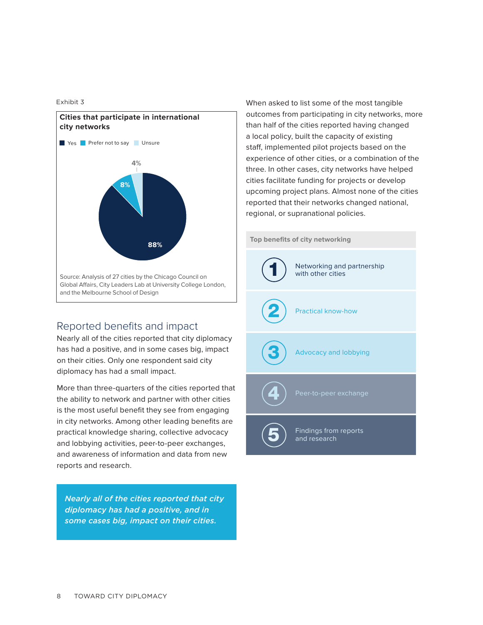Exhibit 3



### Reported benefits and impact

Nearly all of the cities reported that city diplomacy has had a positive, and in some cases big, impact on their cities. Only one respondent said city diplomacy has had a small impact.

More than three-quarters of the cities reported that the ability to network and partner with other cities is the most useful benefit they see from engaging in city networks. Among other leading benefits are practical knowledge sharing, collective advocacy and lobbying activities, peer-to-peer exchanges, and awareness of information and data from new reports and research.

*Nearly all of the cities reported that city diplomacy has had a positive, and in some cases big, impact on their cities.*

When asked to list some of the most tangible outcomes from participating in city networks, more than half of the cities reported having changed a local policy, built the capacity of existing staff, implemented pilot projects based on the experience of other cities, or a combination of the three. In other cases, city networks have helped cities facilitate funding for projects or develop upcoming project plans. Almost none of the cities reported that their networks changed national, regional, or supranational policies.

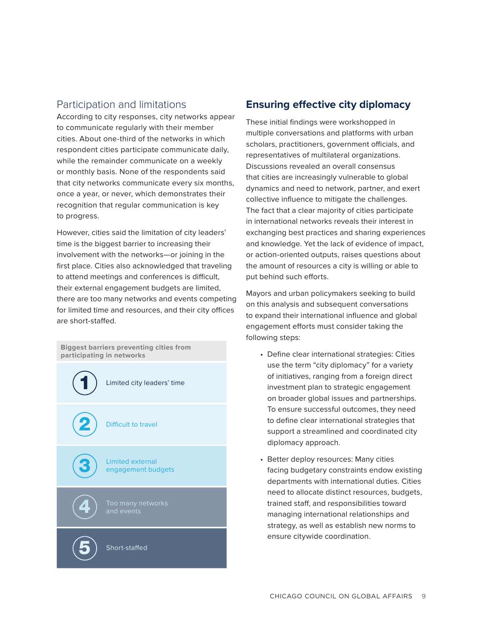### Participation and limitations

According to city responses, city networks appear to communicate regularly with their member cities. About one-third of the networks in which respondent cities participate communicate daily, while the remainder communicate on a weekly or monthly basis. None of the respondents said that city networks communicate every six months, once a year, or never, which demonstrates their recognition that regular communication is key to progress.

However, cities said the limitation of city leaders' time is the biggest barrier to increasing their involvement with the networks—or joining in the first place. Cities also acknowledged that traveling to attend meetings and conferences is difficult, their external engagement budgets are limited, there are too many networks and events competing for limited time and resources, and their city offices are short-staffed.



### **Ensuring effective city diplomacy**

These initial findings were workshopped in multiple conversations and platforms with urban scholars, practitioners, government officials, and representatives of multilateral organizations. Discussions revealed an overall consensus that cities are increasingly vulnerable to global dynamics and need to network, partner, and exert collective influence to mitigate the challenges. The fact that a clear majority of cities participate in international networks reveals their interest in exchanging best practices and sharing experiences and knowledge. Yet the lack of evidence of impact, or action-oriented outputs, raises questions about the amount of resources a city is willing or able to put behind such efforts.

Mayors and urban policymakers seeking to build on this analysis and subsequent conversations to expand their international influence and global engagement efforts must consider taking the following steps:

- Define clear international strategies: Cities use the term "city diplomacy" for a variety of initiatives, ranging from a foreign direct investment plan to strategic engagement on broader global issues and partnerships. To ensure successful outcomes, they need to define clear international strategies that support a streamlined and coordinated city diplomacy approach.
- Better deploy resources: Many cities facing budgetary constraints endow existing departments with international duties. Cities need to allocate distinct resources, budgets, trained staff, and responsibilities toward managing international relationships and strategy, as well as establish new norms to ensure citywide coordination.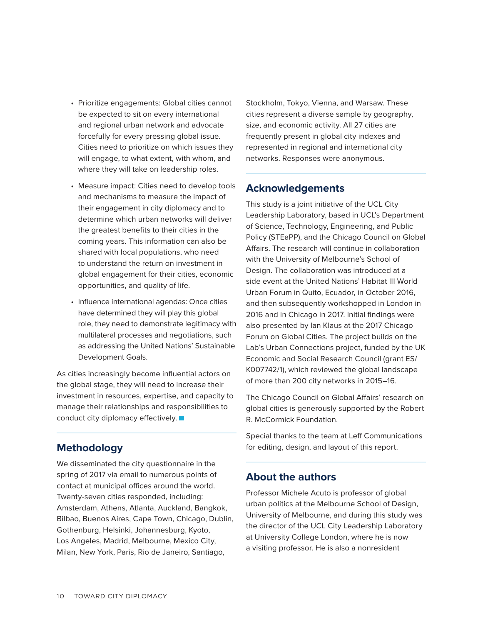- Prioritize engagements: Global cities cannot be expected to sit on every international and regional urban network and advocate forcefully for every pressing global issue. Cities need to prioritize on which issues they will engage, to what extent, with whom, and where they will take on leadership roles.
- Measure impact: Cities need to develop tools and mechanisms to measure the impact of their engagement in city diplomacy and to determine which urban networks will deliver the greatest benefits to their cities in the coming years. This information can also be shared with local populations, who need to understand the return on investment in global engagement for their cities, economic opportunities, and quality of life.
- Influence international agendas: Once cities have determined they will play this global role, they need to demonstrate legitimacy with multilateral processes and negotiations, such as addressing the United Nations' Sustainable Development Goals.

As cities increasingly become influential actors on the global stage, they will need to increase their investment in resources, expertise, and capacity to manage their relationships and responsibilities to conduct city diplomacy effectively.

### **Methodology**

We disseminated the city questionnaire in the spring of 2017 via email to numerous points of contact at municipal offices around the world. Twenty-seven cities responded, including: Amsterdam, Athens, Atlanta, Auckland, Bangkok, Bilbao, Buenos Aires, Cape Town, Chicago, Dublin, Gothenburg, Helsinki, Johannesburg, Kyoto, Los Angeles, Madrid, Melbourne, Mexico City, Milan, New York, Paris, Rio de Janeiro, Santiago,

Stockholm, Tokyo, Vienna, and Warsaw. These cities represent a diverse sample by geography, size, and economic activity. All 27 cities are frequently present in global city indexes and represented in regional and international city networks. Responses were anonymous.

#### **Acknowledgements**

This study is a joint initiative of the UCL City Leadership Laboratory, based in UCL's Department of Science, Technology, Engineering, and Public Policy (STEaPP), and the Chicago Council on Global Affairs. The research will continue in collaboration with the University of Melbourne's School of Design. The collaboration was introduced at a side event at the United Nations' Habitat III World Urban Forum in Quito, Ecuador, in October 2016, and then subsequently workshopped in London in 2016 and in Chicago in 2017. Initial findings were also presented by Ian Klaus at the 2017 Chicago Forum on Global Cities. The project builds on the Lab's Urban Connections project, funded by the UK Economic and Social Research Council (grant ES/ K007742/1), which reviewed the global landscape of more than 200 city networks in 2015–16.

The Chicago Council on Global Affairs' research on global cities is generously supported by the Robert R. McCormick Foundation.

Special thanks to the team at Leff Communications for editing, design, and layout of this report.

#### **About the authors**

Professor Michele Acuto is professor of global urban politics at the Melbourne School of Design, University of Melbourne, and during this study was the director of the UCL City Leadership Laboratory at University College London, where he is now a visiting professor. He is also a nonresident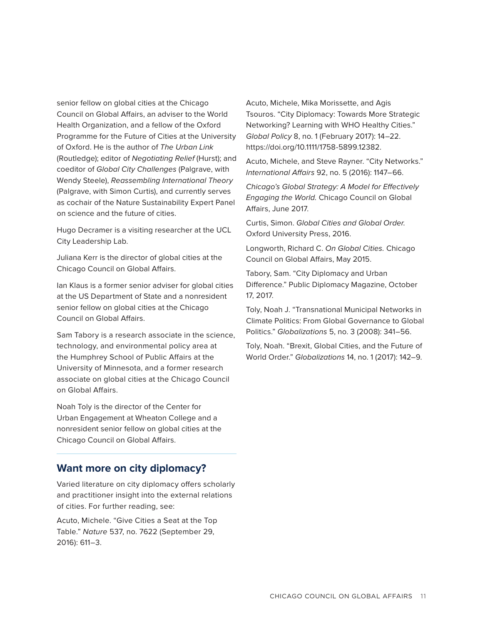senior fellow on global cities at the Chicago Council on Global Affairs, an adviser to the World Health Organization, and a fellow of the Oxford Programme for the Future of Cities at the University of Oxford. He is the author of *The Urban Link*  (Routledge); editor of *Negotiating Relief* (Hurst); and coeditor of *Global City Challenges* (Palgrave, with Wendy Steele), *Reassembling International Theory*  (Palgrave, with Simon Curtis), and currently serves as cochair of the Nature Sustainability Expert Panel on science and the future of cities.

Hugo Decramer is a visiting researcher at the UCL City Leadership Lab.

Juliana Kerr is the director of global cities at the Chicago Council on Global Affairs.

Ian Klaus is a former senior adviser for global cities at the US Department of State and a nonresident senior fellow on global cities at the Chicago Council on Global Affairs.

Sam Tabory is a research associate in the science, technology, and environmental policy area at the Humphrey School of Public Affairs at the University of Minnesota, and a former research associate on global cities at the Chicago Council on Global Affairs.

Noah Toly is the director of the Center for Urban Engagement at Wheaton College and a nonresident senior fellow on global cities at the Chicago Council on Global Affairs.

### **Want more on city diplomacy?**

Varied literature on city diplomacy offers scholarly and practitioner insight into the external relations of cities. For further reading, see:

Acuto, Michele. "Give Cities a Seat at the Top Table." *Nature* 537, no. 7622 (September 29, 2016): 611–3.

Acuto, Michele, Mika Morissette, and Agis Tsouros. "City Diplomacy: Towards More Strategic Networking? Learning with WHO Healthy Cities." *Global Policy* 8, no. 1 (February 2017): 14–22. https://doi.org/10.1111/1758-5899.12382.

Acuto, Michele, and Steve Rayner. "City Networks." *International Affairs* 92, no. 5 (2016): 1147–66.

*Chicago's Global Strategy: A Model for Effectively Engaging the World.* Chicago Council on Global Affairs, June 2017.

Curtis, Simon. *Global Cities and Global Order.* Oxford University Press, 2016.

Longworth, Richard C. *On Global Cities.* Chicago Council on Global Affairs, May 2015.

Tabory, Sam. "City Diplomacy and Urban Difference." Public Diplomacy Magazine, October 17, 2017.

Toly, Noah J. "Transnational Municipal Networks in Climate Politics: From Global Governance to Global Politics." *Globalizations* 5, no. 3 (2008): 341–56.

Toly, Noah. "Brexit, Global Cities, and the Future of World Order." *Globalizations* 14, no. 1 (2017): 142–9.